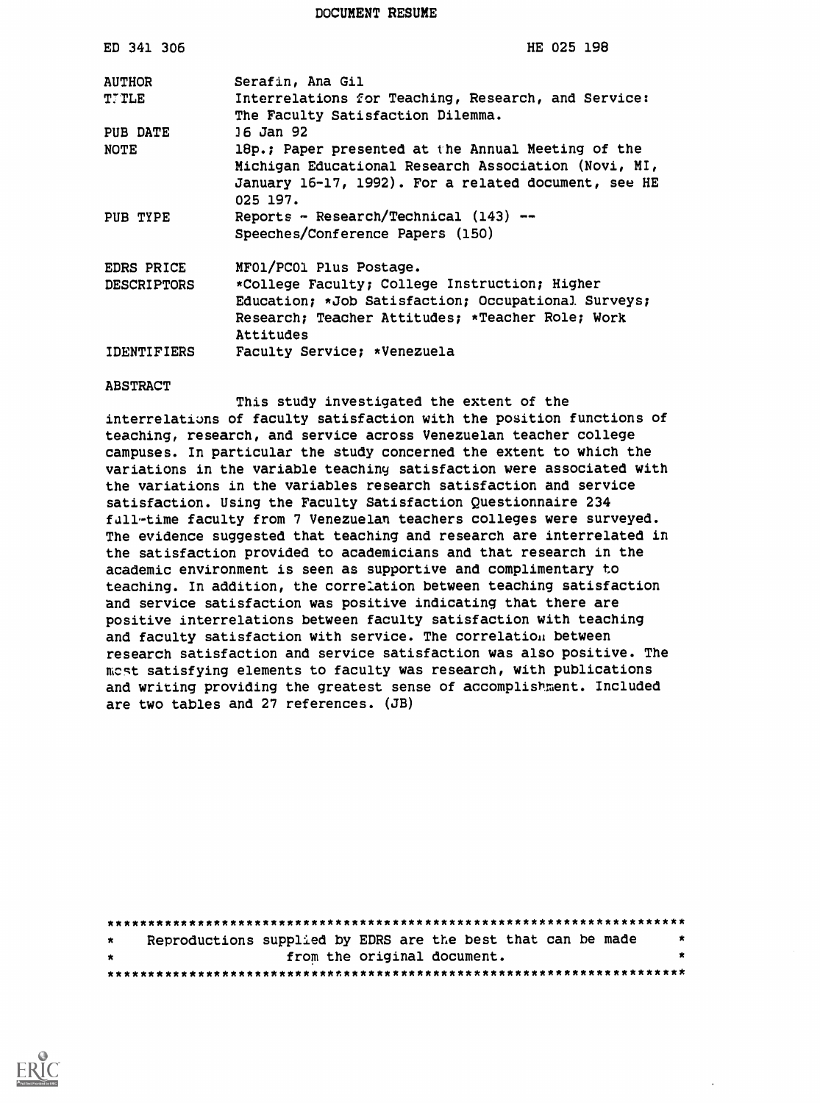DOCUMENT RESUME

| ED 341 306         | HE 025 198                                                                                                                                                                     |
|--------------------|--------------------------------------------------------------------------------------------------------------------------------------------------------------------------------|
| <b>AUTHOR</b>      | Serafin, Ana Gil                                                                                                                                                               |
| <b>T.TLE</b>       | Interrelations for Teaching, Research, and Service:<br>The Faculty Satisfaction Dilemma.                                                                                       |
| PUB DATE           | 16 Jan 92                                                                                                                                                                      |
| NOTE               | 18p.; Paper presented at the Annual Meeting of the<br>Michigan Educational Research Association (Novi, MI,<br>January 16-17, 1992). For a related document, see HE<br>025 197. |
| PUB TYPE           | Reports - Research/Technical (143) --<br>Speeches/Conference Papers (150)                                                                                                      |
| <b>EDRS PRICE</b>  | MFO1/PCO1 Plus Postage.                                                                                                                                                        |
| <b>DESCRIPTORS</b> | *College Faculty; College Instruction; Higher                                                                                                                                  |
|                    | Education; *Job Satisfaction; Occupational Surveys;                                                                                                                            |
|                    | Research; Teacher Attitudes; *Teacher Role; Work<br>Attitudes                                                                                                                  |
| <b>IDENTIFIERS</b> | Faculty Service; *Venezuela                                                                                                                                                    |

#### ABSTRACT

This study investigated the extent of the interrelatiuns of faculty satisfaction with the position functions of teaching, research, and service across Venezuelan teacher college campuses. In particular the study concerned the extent to which the variations in the variable teachiny satisfaction were associated with the variations in the variables research satisfaction and service satisfaction. Using the Faculty Satisfaction Questionnaire 234 full-time faculty from 7 Venezuelan teachers colleges were surveyed. The evidence suggested that teaching and research are interrelated in the satisfaction provided to academicians and that research in the academic environment is seen as supportive and complimentary to teaching. In addition, the correlation between teaching satisfaction and service satisfaction was positive indicating that there are positive interrelations between faculty satisfaction with teaching and faculty satisfaction with service. The correlatiou between research satisfaction and service satisfaction was also positive. The mest satisfying elements to faculty was research, with publications and writing providing the greatest sense of accomplishment. Included are two tables and 27 references. (JB)

| $\star$ | Reproductions supplied by EDRS are the best that can be made |  |                             |  | - 83 |
|---------|--------------------------------------------------------------|--|-----------------------------|--|------|
| $\star$ |                                                              |  | from the original document. |  |      |
|         |                                                              |  |                             |  |      |

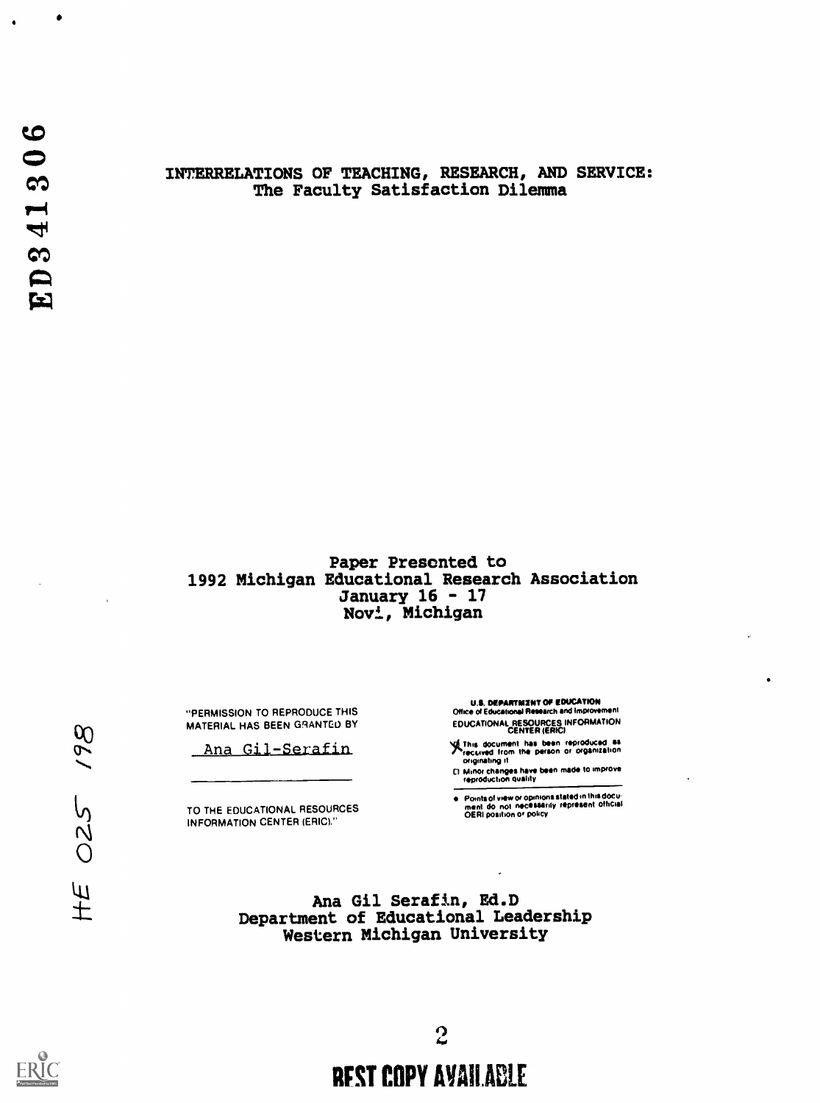$\bullet$ 

### INTERRELATIONS OF TEACHING, RESEARCH, AND SERVICE: The Faculty Satisfaction Dilemma

## Paper Presented to 1992 Michigan Educational Research Association January 16 - 17 Novi, Michigan

"PERMISSION TO REPRODUCE THIS MATERIAL HAS BEEN GRANTED BY

Ana Gil-Serafia

TO THE EDUCATIONAL RESOURCES INFORMATION CENTER (ERIC)."

U.S. DEPARTMENT OF EDUCATION<br>Office of Educational Research and Improvement EDUCATIONAL RESOURCES INFORMATION CENTER (ERIC)

g this document has been reproduced as<br>Trecuved from the parson or organization<br>- originating it

0 Minor changos have been made to improve reproduction quality

Points of view or opinions stated in this docu-<br>ment: do: not: necessarily: represent: official<br>OERI position or policy

Ana Gil Serafin, Ed.D Department of Educational Leadership Western Michigan University



198

025

 $H\overline{E}$ 

# REST COPY AVAILABLE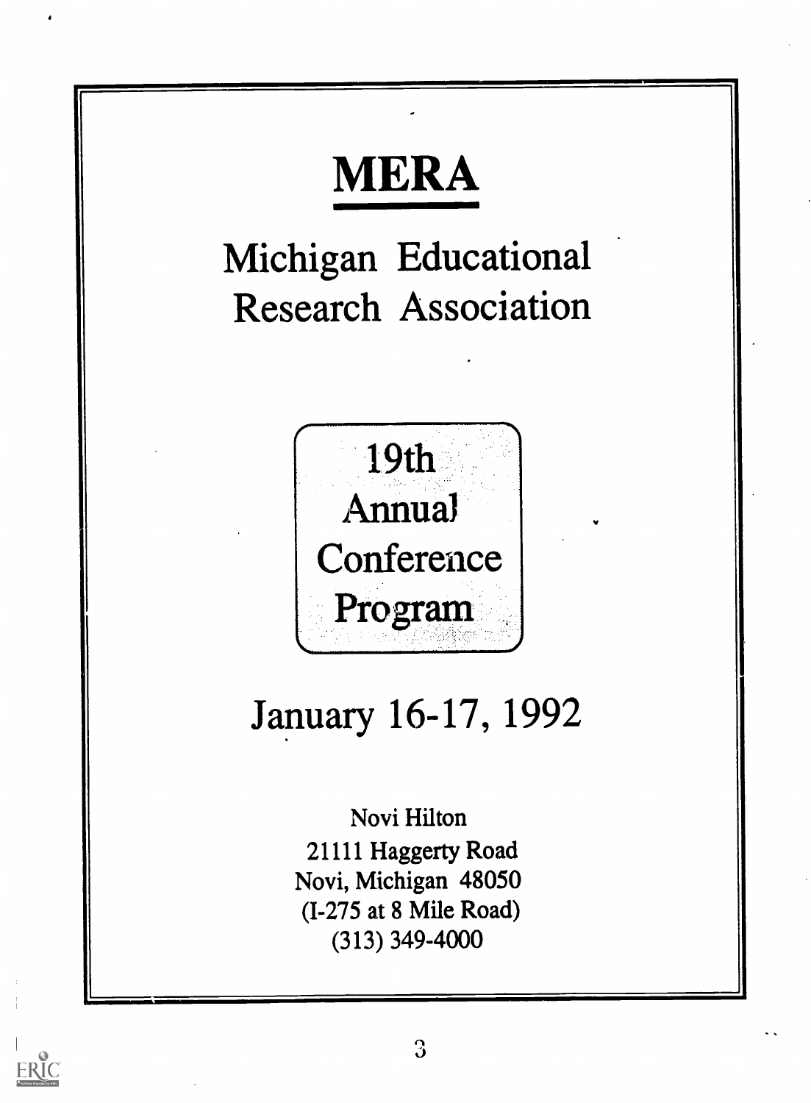

ERIC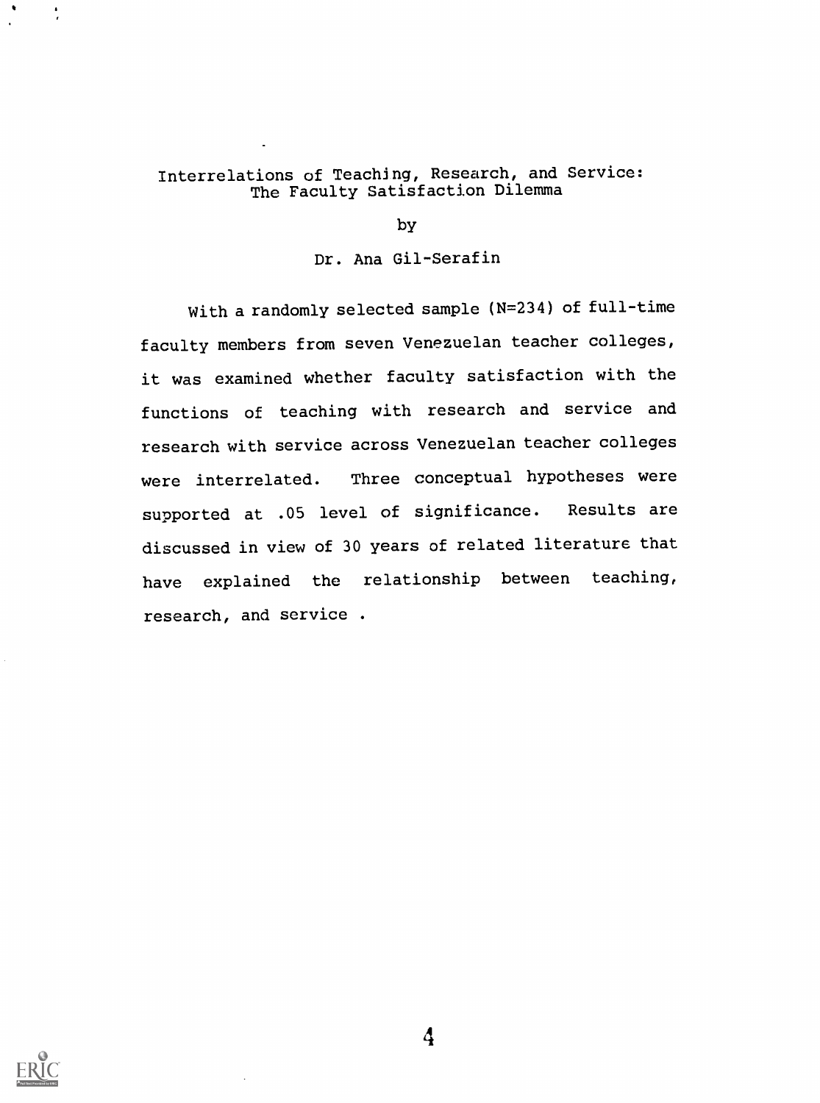# Interrelations of Teaching, Research, and Service: The Faculty Satisfaction Dilemma

by

# Dr. Ana Gil-Serafin

With a randomly selected sample (N=234) of full-time faculty members from seven Venezuelan teacher colleges, it was examined whether faculty satisfaction with the functions of teaching with research and service and research with service across Venezuelan teacher colleges were interrelated. Three conceptual hypotheses were supported at .05 level of significance. Results are discussed in view of 30 years of related literature that have explained the relationship between teaching, research, and service .

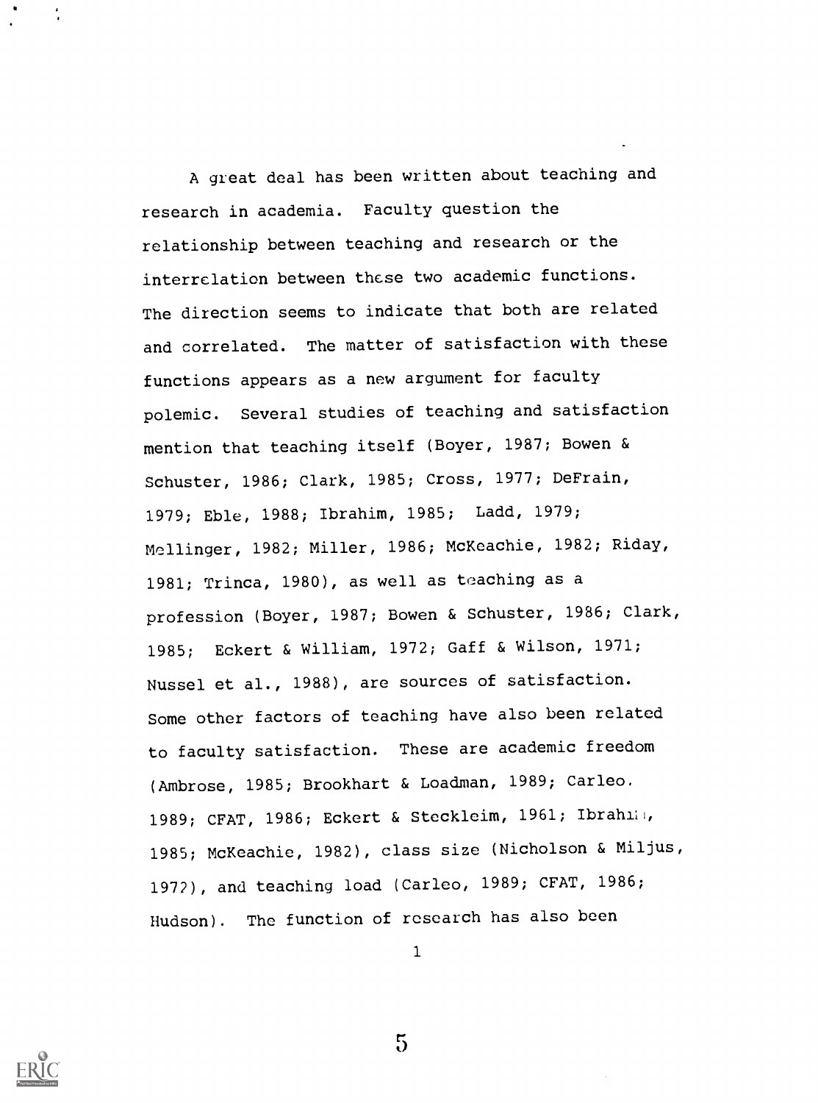A great deal has been written about teaching and research in academia. Faculty question the relationship between teaching and research or the interrelation between these two academic functions. The direction seems to indicate that both are related and correlated. The matter of satisfaction with these functions appears as a new argument for faculty polemic. Several studies of teaching and satisfaction mention that teaching itself (Boyer, 1987; Bowen & Schuster, 1986; Clark, 1985; Cross, 1977; DeFrain, 1979; Eble, 1988; Ibrahim, 1985; Ladd, 1979; Mellinger, 1982; Miller, 1986; McKeachie, 1982; Riday, 1981; Trinca, 1980), as well as teaching as a profession (Boyer, 1987; Bowen & Schuster, 1986; Clark, 1985; Eckert & William, 1972; Gaff & Wilson, 1971; Nussel et al., 1988), are sources of satisfaction. Some other factors of teaching have also been related to faculty satisfaction. These are academic freedom (Ambrose, 1985; Brookhart & Loadman, 1989; Carleo, 1989; CFAT, 1986; Eckert & Steckleim, 1961; Ibrahiii, 1985; McKeachie, 1982), class size (Nicholson & Miljus, 1972), and teaching load (Carleo, 1989; CFAT, 1986; Hudson). The function of research has also been

1



 $5\overline{)}$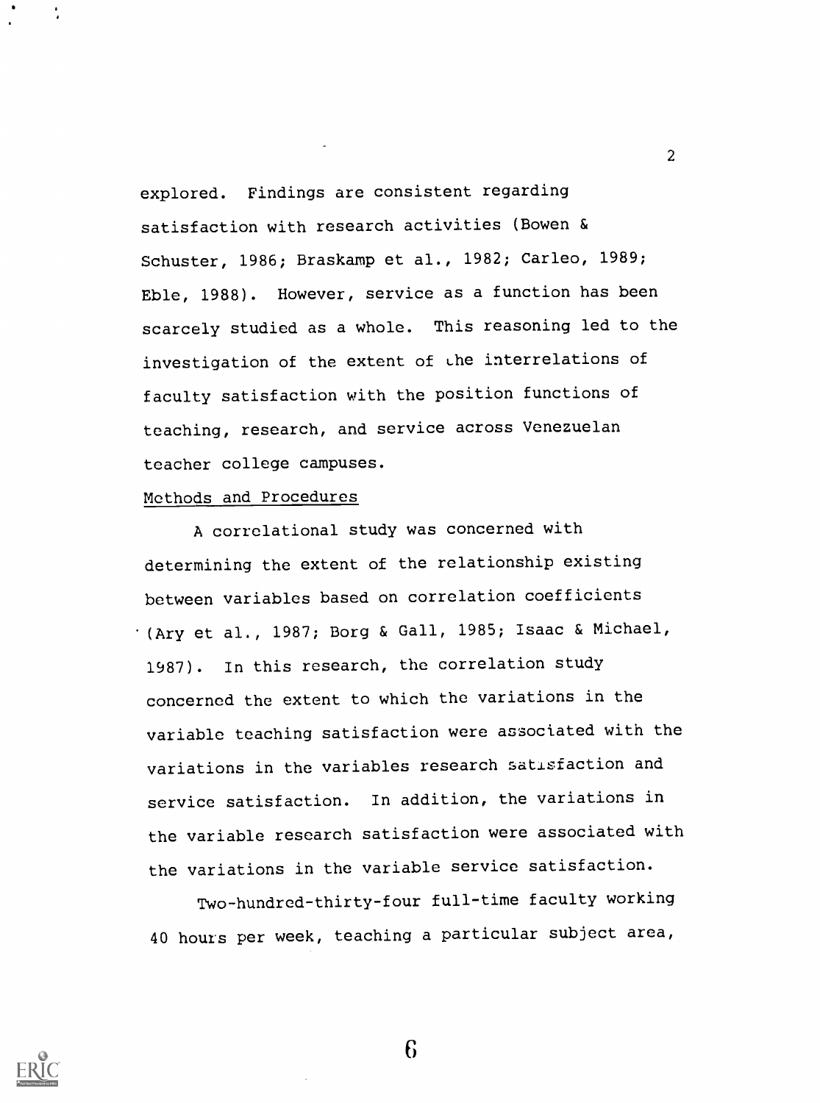explored. Findings are consistent regarding satisfaction with research activities (Bowen & Schuster, 1986; Braskamp et al., 1982; Carleo, 1989; Eble, 1988). However, service as a function has been scarcely studied as a whole. This reasoning led to the investigation of the extent of uhe interrelations of faculty satisfaction with the position functions of teaching, research, and service across Venezuelan teacher college campuses.

2

#### Methods and Procedures

A correlational study was concerned with determining the extent of the relationship existing between variables based on correlation coefficients (Ary et al., 1987; Borg & Gall, 1985; Isaac & Michael, 1987). In this research, the correlation study concerned the extent to which the variations in the variable teaching satisfaction were associated with the variations in the variables research satisfaction and service satisfaction. In addition, the variations in the variable research satisfaction were associated with the variations in the variable service satisfaction.

Two-hundred-thirty-four full-time faculty working 40 hours per week, teaching a particular subject area,

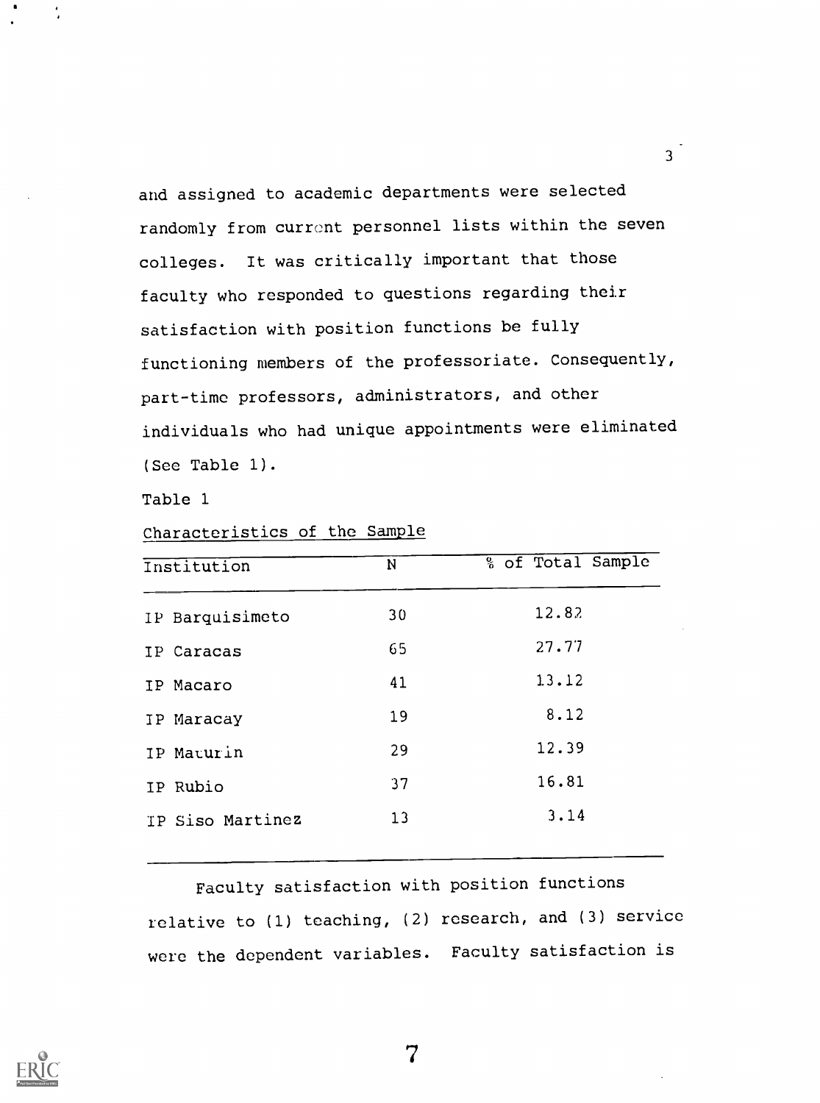and assigned to academic departments were selected randomly from current personnel lists within the seven colleges. It was critically important that those faculty who responded to questions regarding their satisfaction with position functions be fully functioning members of the professoriate. Consequently, part-time professors, administrators, and other individuals who had unique appointments were eliminated (See Table 1).

 $3<sup>1</sup>$ 

Table 1

| Characteristics of the Sample |  |  |
|-------------------------------|--|--|
|                               |  |  |

| Institution      | N  | % of Total Sample |
|------------------|----|-------------------|
| IP Barquisimeto  | 30 | 12.82             |
| IP Caracas       | 65 | 27.77             |
| IP Macaro        | 41 | 13.12             |
| IP Maracay       | 19 | 8.12              |
| IP Maturin       | 29 | 12.39             |
| IP Rubio         | 37 | 16.81             |
| IP Siso Martinez | 13 | 3.14              |
|                  |    |                   |

Faculty satisfaction with position functions relative to (1) teaching, (2) research, and (3) service were the dependent variables. Faculty satisfaction is

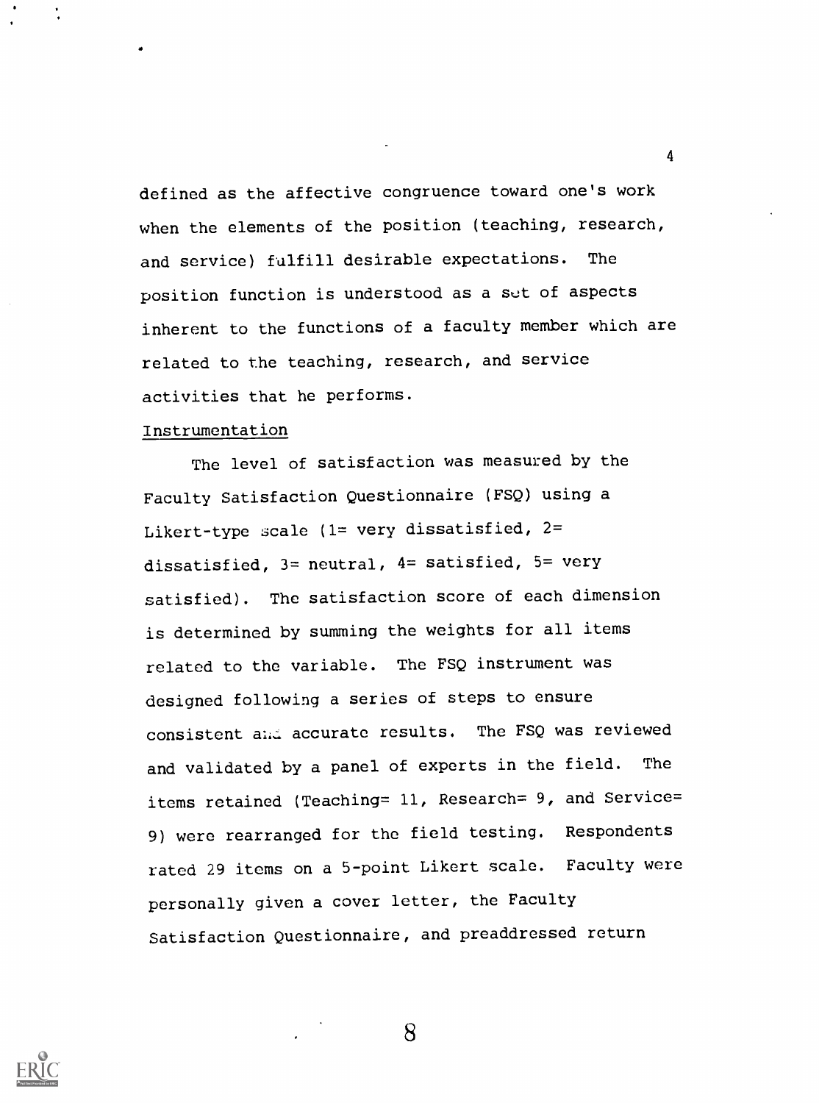defined as the affective congruence toward one's work when the elements of the position (teaching, research, and service) falfill desirable expectations. The position function is understood as a set of aspects inherent to the functions of a faculty member which are related to the teaching, research, and service activities that he performs.

4

#### Instrumentation

The level of satisfaction was measured by the Faculty Satisfaction Questionnaire (FSQ) using a Likert-type scale (1= very dissatisfied, 2= dissatisfied,  $3=$  neutral,  $4=$  satisfied,  $5=$  very satisfied). The satisfaction score of each dimension is determined by summing the weights for all items related to the variable. The FSQ instrument was designed following a series of steps to ensure consistent and accurate results. The FSQ was reviewed and validated by a panel of experts in the field. The items retained (Teaching= 11, Research= 9, and Service= 9) were rearranged for the field testing. Respondents rated 29 items on a 5-point Likert scale. Faculty were personally given a cover letter, the Faculty Satisfaction Questionnaire, and preaddressed return

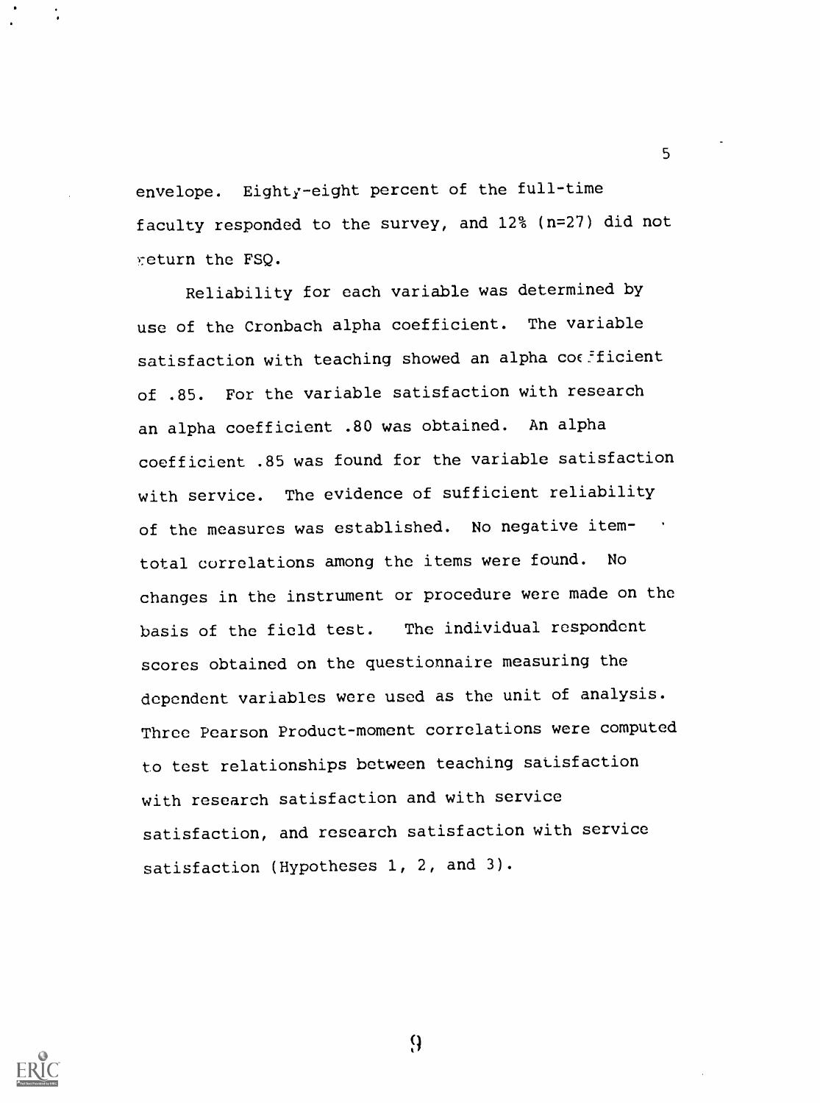envelope. Eighty-eight percent of the full-time faculty responded to the survey, and 12% (n=27) did not return the FSQ.

5

Reliability for each variable was determined by use of the Cronbach alpha coefficient. The variable satisfaction with teaching showed an alpha coefficient of .85. For the variable satisfaction with research an alpha coefficient .80 was obtained. An alpha coefficient .85 was found for the variable satisfaction with service. The evidence of sufficient reliability of the measures was established. No negative itemtotal correlations among the items were found. No changes in the instrument or procedure were made on the basis of the field test. The individual respondent scores obtained on the questionnaire measuring the dependent variables were used as the unit of analysis. Three Pearson Product-moment correlations were computed to test relationships between teaching satisfaction with research satisfaction and with service satisfaction, and research satisfaction with service satisfaction (Hypotheses 1, 2, and 3).

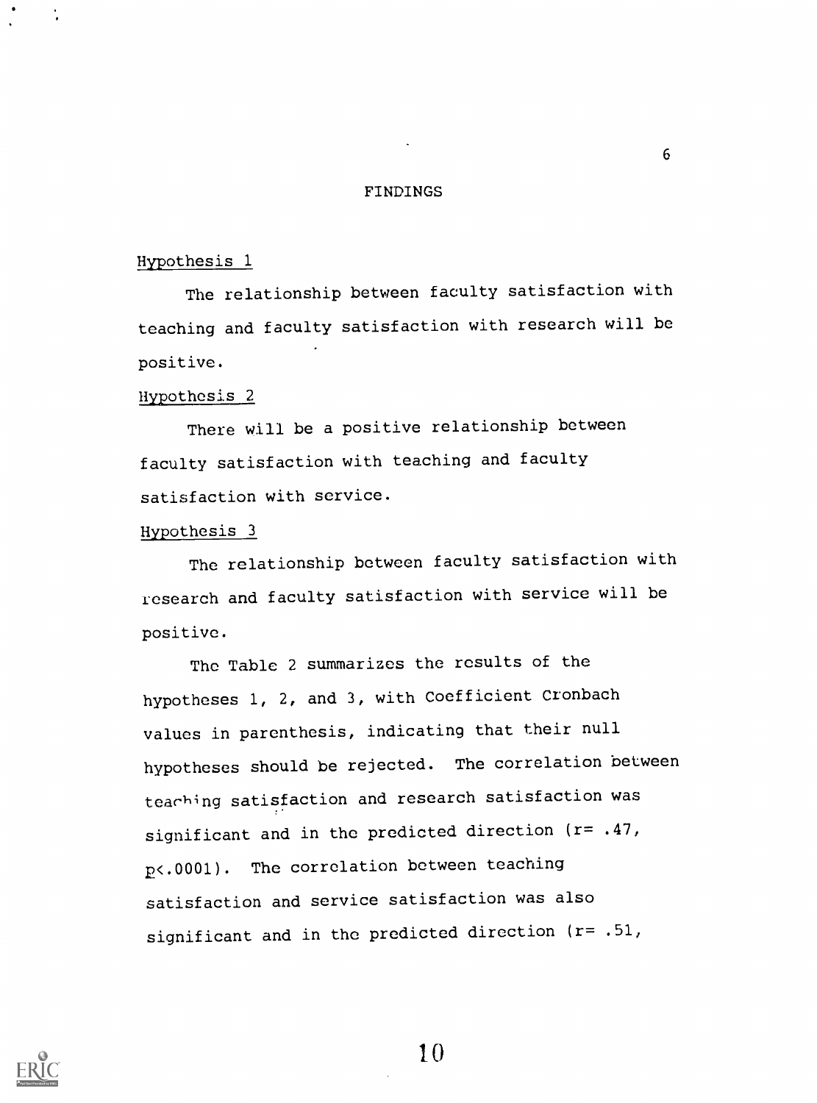#### FINDINGS

#### Hypothesis 1

The relationship between faculty satisfaction with teaching and faculty satisfaction with research will be positive.

## Hypothesis 2

There will be a positive relationship between faculty satisfaction with teaching and faculty satisfaction with service.

## Hypothesis 3

The relationship between faculty satisfaction with research and faculty satisfaction with service will be positive.

The Table 2 summarizes the results of the hypotheses 1, 2, and 3, with Coefficient Cronbach values in parenthesis, indicating that their null hypotheses should be rejected. The correlation between tearhing satisfaction and research satisfaction was significant and in the predicted direction (r= .47, p<.0001). The correlation between teaching satisfaction and service satisfaction was also significant and in the predicted direction (r= .51,

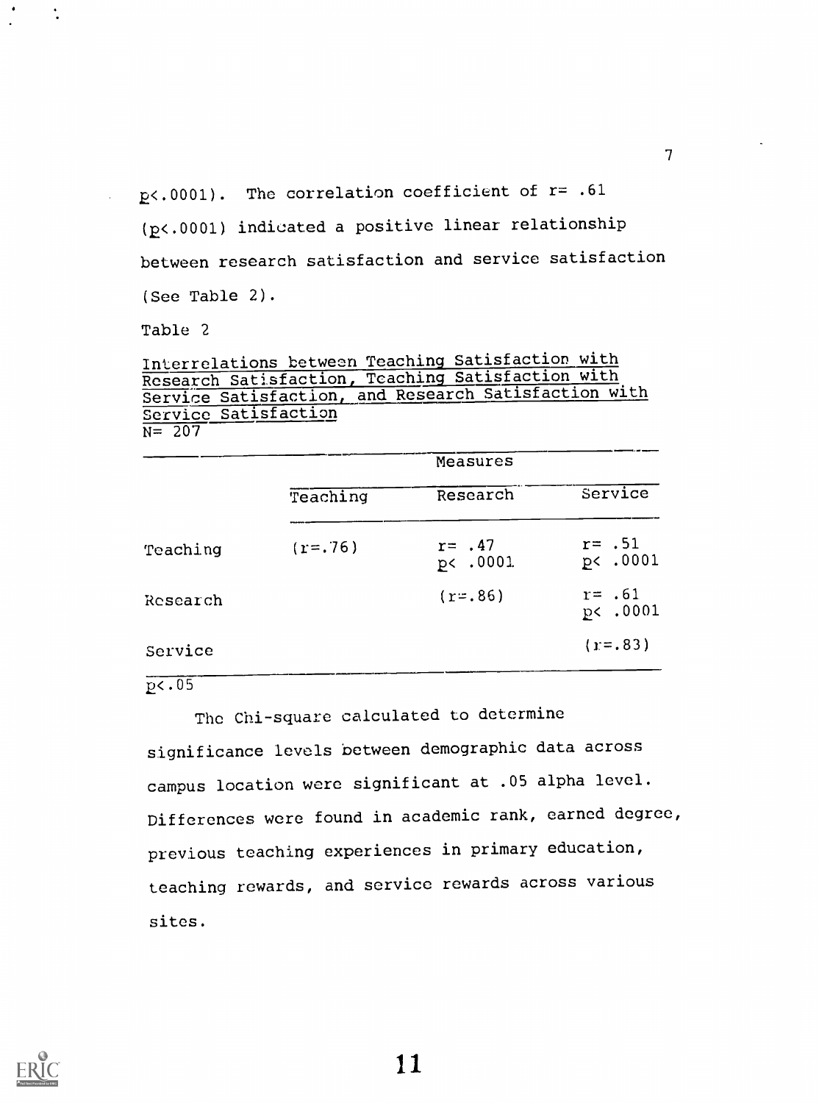$p$ <.0001). The correlation coefficient of  $r=$  .61 (2<.0001) indicated a positive linear relationship between research satisfaction and service satisfaction (See Table 2).

Table 2

 $\ddot{\cdot}$ 

Interrelations between Teaching Satisfaction with Research Satisfaction, Teaching Satisfaction with Service Satisfaction, and Research Satisfaction with Service Satisfaction  $N=$  207

|          |           | Measures              |                       |  |  |
|----------|-----------|-----------------------|-----------------------|--|--|
|          | Teaching  | Research              | Service               |  |  |
| Teaching | $(r=.76)$ | $r = .47$<br>p< .0001 | $r = .51$<br>p< .0001 |  |  |
| Research |           | $(r = .86)$           | $r = .61$<br>p< .0001 |  |  |
| Service  |           |                       | $(r=.83)$             |  |  |

# $p<sub>05</sub>$

The Chi-square calculated to determine significance levels between demographic data across campus location were significant at .05 alpha level. Differences were found in academic rank, earned degree, previous teaching experiences in primary education, teaching rewards, and service rewards across various sites.

11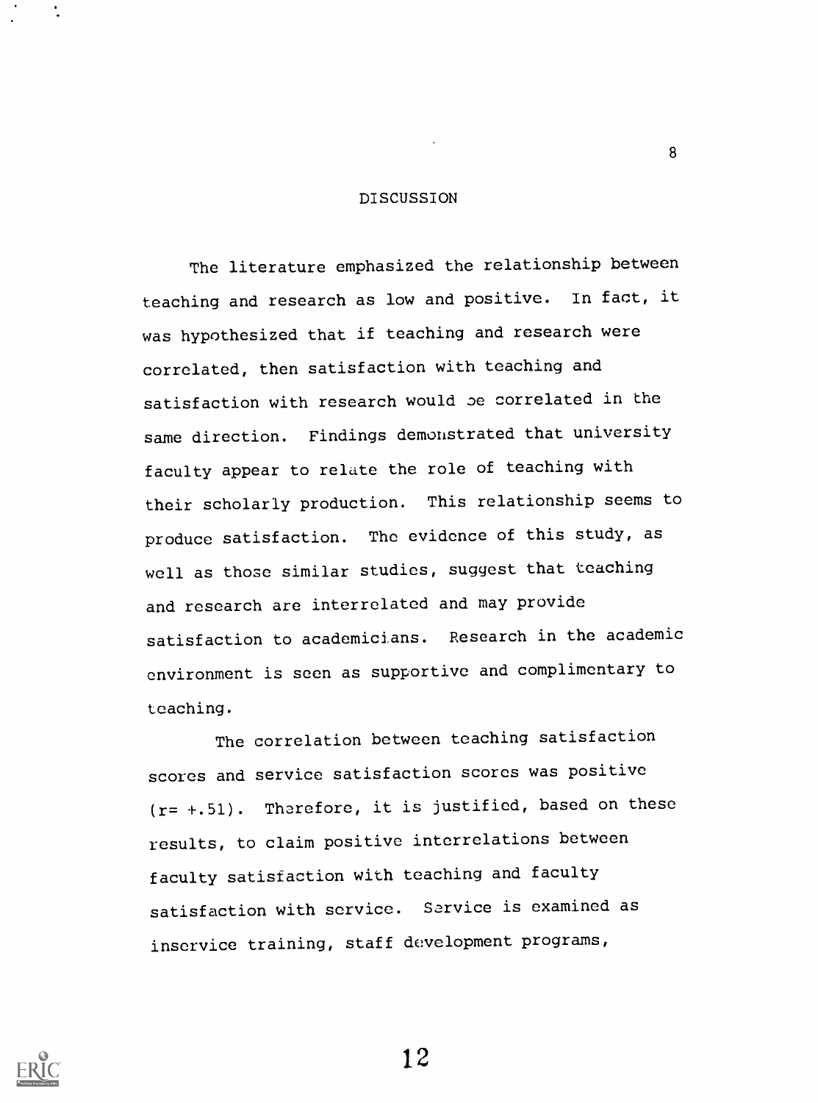#### **DISCUSSION**

8

The literature emphasized the relationship between teaching and research as low and positive. In fact, it was hypothesized that if teaching and research were correlated, then satisfaction with teaching and satisfaction with research would oe correlated in the same direction. Findings demonstrated that university faculty appear to relate the role of teaching with their scholarly production. This relationship seems to produce satisfaction. The evidence of this study, as well as those similar studies, suggest that teaching and research are interrelated and may provide satisfaction to academicians. Research in the academic environment is seen as supportive and complimentary to teaching.

The correlation between teaching satisfaction scores and service satisfaction scores was positive  $(r= +.51)$ . Therefore, it is justified, based on these results, to claim positive interrelations between faculty satisfaction with teaching and faculty satisfaction with service. Sarvice is examined as inservice training, staff development programs,

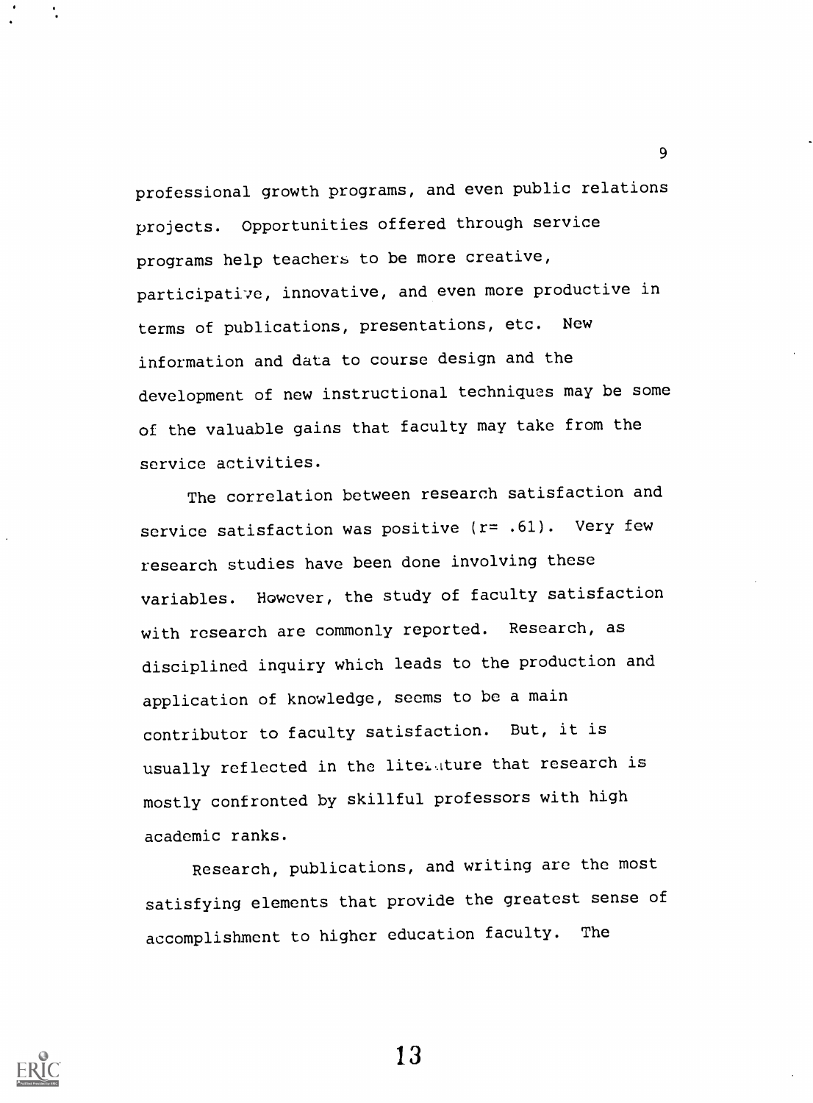professional growth programs, and even public relations projects. Opportunities offered through service programs help teachers to be more creative, participative, innovative, and even more productive in terms of publications, presentations, etc. New information and data to course design and the development of new instructional techniques may be some of the valuable gains that faculty may take from the service activities.

9

The correlation between research satisfaction and service satisfaction was positive (r= .61). Very few research studies have been done involving these variables. However, the study of faculty satisfaction with research are commonly reported. Research, as disciplined inquiry which leads to the production and application of knowledge, seems to be a main contributor to faculty satisfaction. But, it is usually reflected in the litel, ture that research is mostly confronted by skillful professors with high academic ranks.

Research, publications, and writing are the most satisfying elements that provide the greatest sense of accomplishment to higher education faculty. The

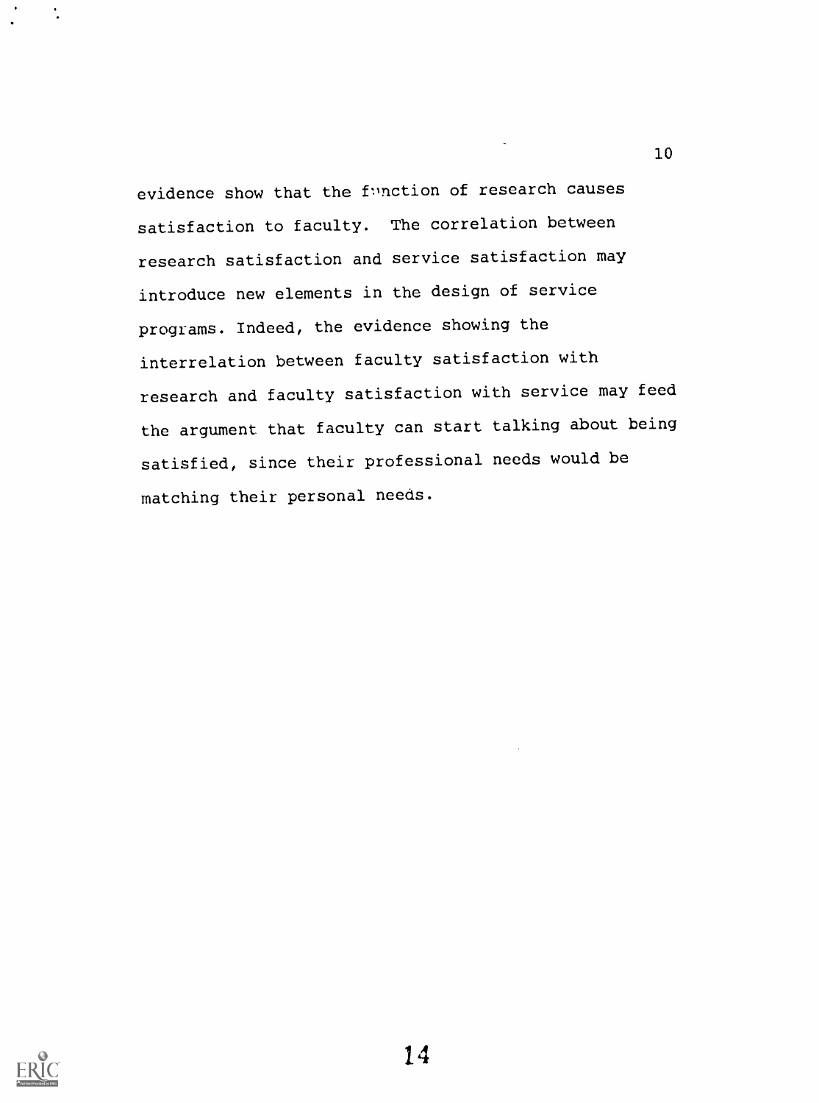evidence show that the function of research causes satisfaction to faculty. The correlation between research satisfaction and service satisfaction may introduce new elements in the design of service programs. Indeed, the evidence showing the interrelation between faculty satisfaction with research and faculty satisfaction with service may feed the argument that faculty can start talking about being satisfied, since their professional needs would be matching their personal needs.

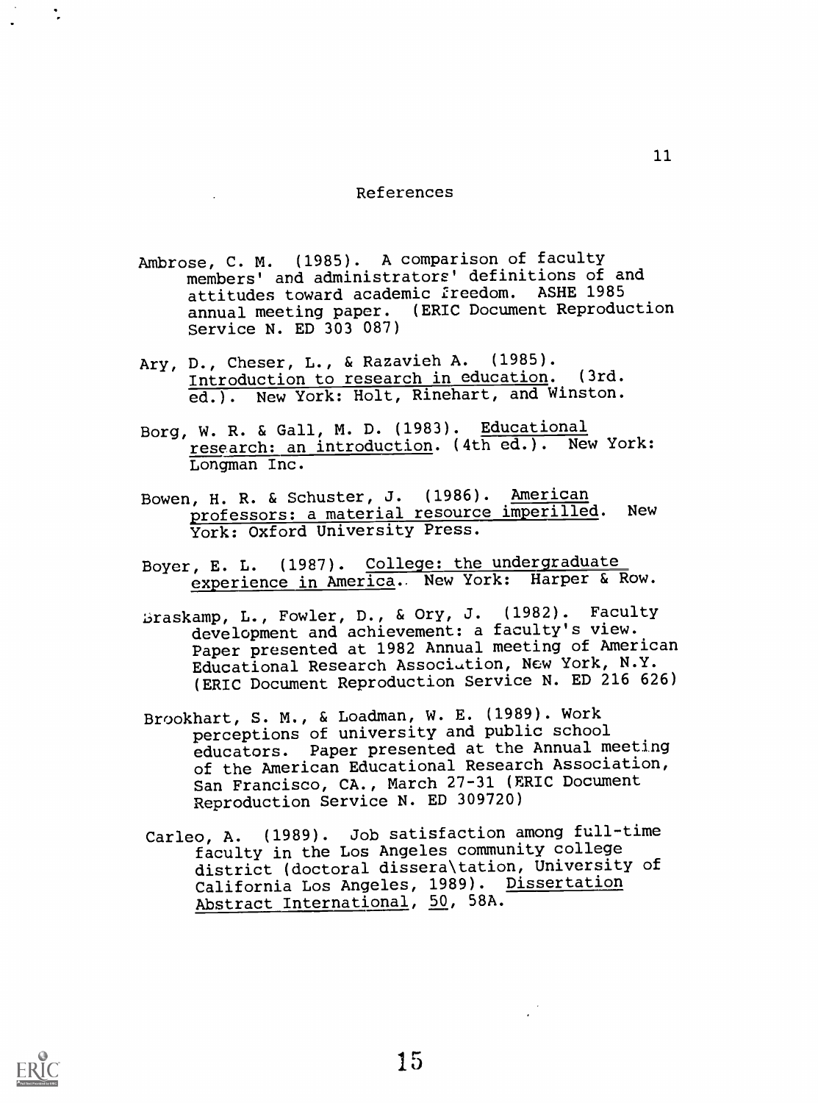#### References

- Ambrose, C. M. (1985). A comparison of faculty members' and administrators' definitions of and attitudes toward academic freedom. ASHE 1985 annual meeting paper. (ERIC Document Reproduction Service N. ED 303 087)
- Ary, D., Cheser, L., & Razavieh A. (1985).<br>Introduction to research in education. (3rd. Introduction to research in education. ed.). New York: Holt, Rinehart, and Winston.
- Borg, W. R. & Gall, M. D. (1983). Educational research: an introduction. (4th ed.). New York: Longman Inc.
- Bowen, H. R. & Schuster, J. (1986). American professors: a material resource imperilled. New York: Oxford University Press.
- Boyer, E. L. (1987). College: the undergraduate experience in America. New York: Harper & Row.
- 15raskamp, L., Fowler, D., & Ory, J. (1982). Faculty development and achievement: a faculty's view. Paper presented at 1982 Annual meeting of American Educational Research Association, New York, N.Y. (ERIC Document Reproduction Service N. ED 216 626)
- Brookhart, S. M., & Loadman, W. E. (1989). Work perceptions of university and public school educators. Paper presented at the Annual meeting of the American Educational Research Association, San Francisco, CA., March 27-31 (ERIC Document Reproduction Service N. ED 309720)
- Carleo, A. (1989). Job satisfaction among full-time faculty in the Los Angeles community college district (doctoral dissera\tation, University of California Los Angeles, 1989). Dissertation Abstract International, 50, 58A.

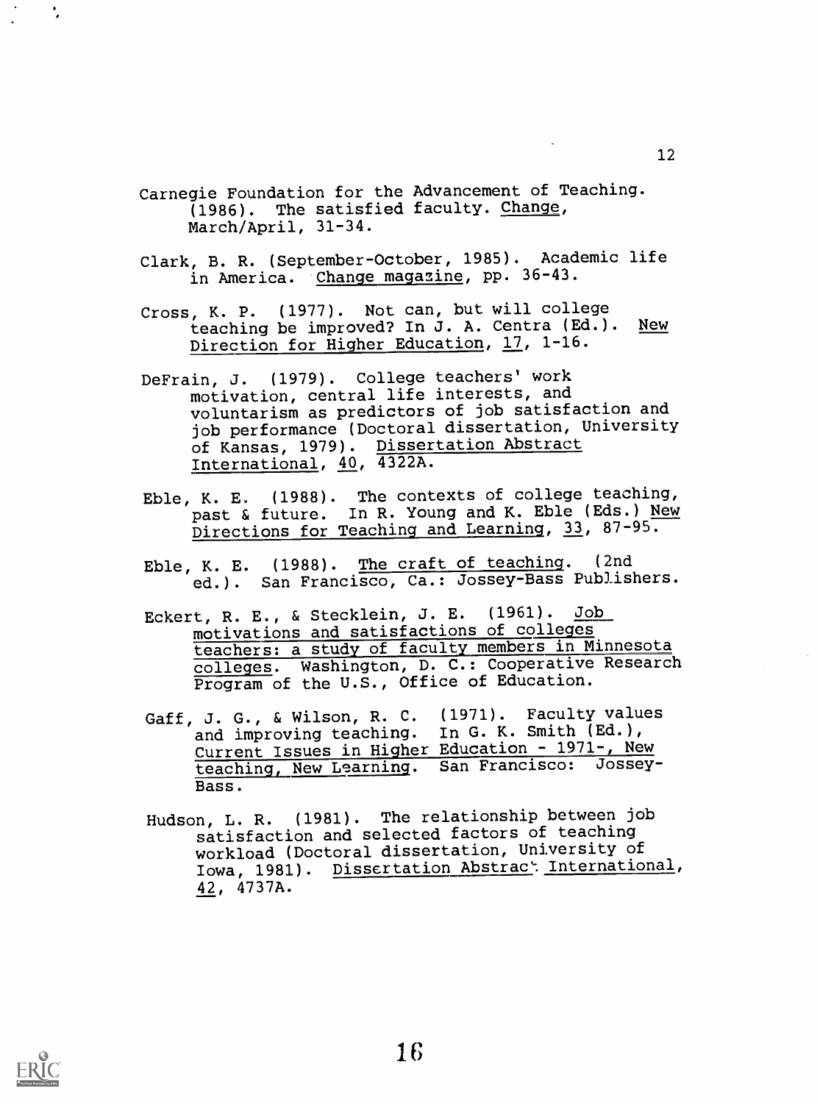Carnegie Foundation for the Advancement of Teaching. (1986). The satisfied faculty. Change, March/April, 31-34.

- Clark, B. R. (September-October, 1985). Academic life in America. Change magazine, pp. 36-43.
- Cross, K. P. (1977). Not can, but will college<br>teaching be improved? In J. A. Centra (Ed.). New teaching be improved? In J. A. Centra (Ed.). Direction for Higher Education, 17, 1-16.
- DeFrain, J. (1979). College teachers' work motivation, central life interests, and voluntarism as predictors of job satisfaction and job performance (Doctoral dissertation, University of Kansas, 1979). Dissertation Abstract International, 40, 4322A.
- Eble, K. E. (1988). The contexts of college teaching, past & future. In R. Young and K. Eble (Eds.) New Directions for Teaching and Learning, 33, 87-95.
- Eble, K. E. (1988). The craft of teaching. (2nd ed.). San Francisco, Ca.: Jossey-Bass Publishers.
- Eckert, R. E., & Stecklein, J. E. (1961). Job motivations and satisfactions of colleges teachers: a study of faculty members in Minnesota colleges. Washington, D. C.: Cooperative Research Program of the U.S., Office of Education.
- Gaff, J. G., & Wilson, R. C. (1971). Faculty values<br>and improving teaching. In G. K. Smith (Ed.), and improving teaching. In G. K. Smith (Ed.), Current Issues in Higher Education - 1971-, New teaching, New Learning. San Francisco: Jossey-Bass.
- Hudson, L. R. (1981). The relationship between job satisfaction and selected factors of teaching workload (Doctoral dissertation, University of Iowa, 1981). Dissertation Abstrac<sup>t</sup> International, 42 4737A.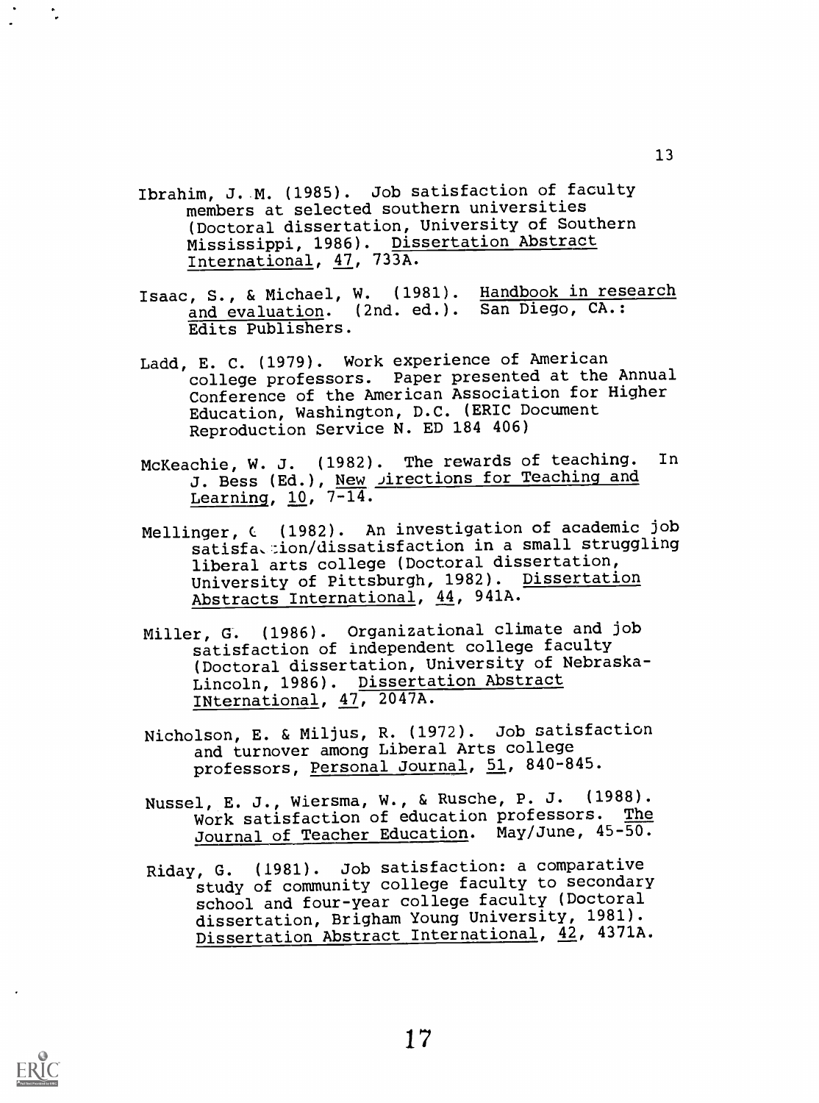- Ibrahim, J. M. (1985). Job satisfaction of faculty members at selected southern universities (Doctoral dissertation, University of Southern Mississippi, 1986). Dissertation Abstract International, 47, 733A.
- Isaac, S., & Michael, W. (1981). Handbook in research and evaluation. (2nd. ed.). San Diego, CA.: Edits Publishers.
- Ladd, E. C. (1979). Work experience of American college professors. Paper presented at the Annual Conference of the American Association for Higher Education, Washington, D.C. (ERIC Document Reproduction Service N. ED 184 406)
- McKeachie, W. J. (1982). The rewards of teaching. In J. Bess (Ed.), New *Jirections for Teaching and* Learning, 10, 7-14.
- Mellinger, C (1982). An investigation of academic job satisfa,:ion/dissatisfaction in a small struggling liberal arts college (Doctoral dissertation, University of Pittsburgh, 1982). Dissertation Abstracts International, 44, 941A.
- Miller, G. (1986). Organizational climate and job satisfaction of independent college faculty (Doctoral dissertation, University of Nebraska-Lincoln, 1986). Dissertation Abstract INternational, 47, 2047A.
- Nicholson, E. & Miljus, R. (1972). Job satisfaction and turnover among Liberal Arts college professors, Personal Journal, 51, 840-845.
- Nussel, E. J., Wiersma, W., & Rusche, P. J. (1988). Work satisfaction of education professors. The Journal of Teacher Education. May/June, 45-50.
- Riday, G. (1981). Job satisfaction: a comparative study of community college faculty to secondary school and four-year college faculty (Doctoral dissertation, Brigham Young University, 1981). Dissertation Abstract International, 42, 4371A.